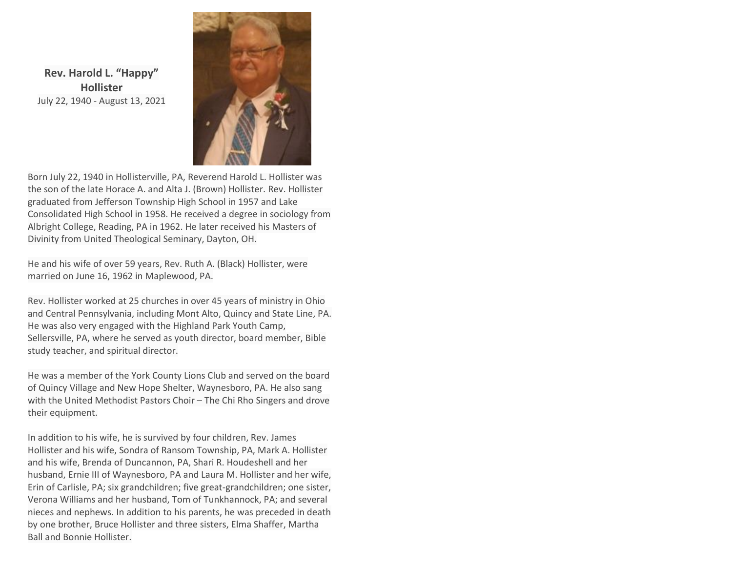**Rev. Harold L. "Happy" Hollister** July 22, 1940 - August 13, 2021



Born July 22, 1940 in Hollisterville, PA, Reverend Harold L. Hollister was the son of the late Horace A. and Alta J. (Brown) Hollister. Rev. Hollister graduated from Jefferson Township High School in 1957 and Lake Consolidated High School in 1958. He received a degree in sociology from Albright College, Reading, PA in 1962. He later received his Masters of Divinity from United Theological Seminary, Dayton, OH.

He and his wife of over 59 years, Rev. Ruth A. (Black) Hollister, were married on June 16, 1962 in Maplewood, PA.

Rev. Hollister worked at 25 churches in over 45 years of ministry in Ohio and Central Pennsylvania, including Mont Alto, Quincy and State Line, PA. He was also very engaged with the Highland Park Youth Camp, Sellersville, PA, where he served as youth director, board member, Bible study teacher, and spiritual director.

He was a member of the York County Lions Club and served on the board of Quincy Village and New Hope Shelter, Waynesboro, PA. He also sang with the United Methodist Pastors Choir – The Chi Rho Singers and drove their equipment.

In addition to his wife, he is survived by four children, Rev. James Hollister and his wife, Sondra of Ransom Township, PA, Mark A. Hollister and his wife, Brenda of Duncannon, PA, Shari R. Houdeshell and her husband, Ernie III of Waynesboro, PA and Laura M. Hollister and her wife, Erin of Carlisle, PA; six grandchildren; five great-grandchildren; one sister, Verona Williams and her husband, Tom of Tunkhannock, PA; and several nieces and nephews. In addition to his parents, he was preceded in death by one brother, Bruce Hollister and three sisters, Elma Shaffer, Martha Ball and Bonnie Hollister.